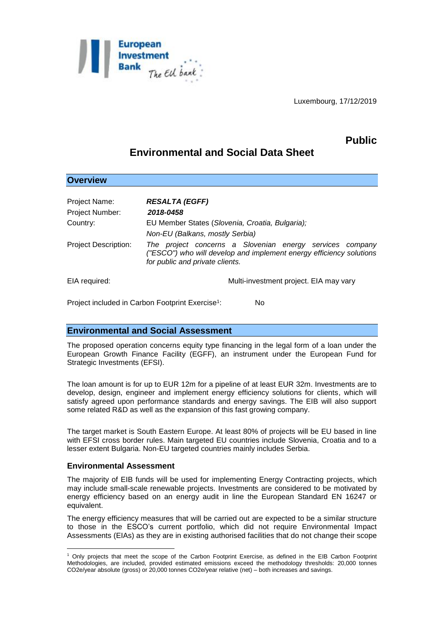

Luxembourg, 17/12/2019

# **Public**

# **Environmental and Social Data Sheet**

| <b>Overview</b>             |                                                                                                                                                                    |
|-----------------------------|--------------------------------------------------------------------------------------------------------------------------------------------------------------------|
|                             |                                                                                                                                                                    |
| Project Name:               | <b>RESALTA (EGFF)</b>                                                                                                                                              |
| Project Number:             | 2018-0458                                                                                                                                                          |
| Country:                    | EU Member States (Slovenia, Croatia, Bulgaria);                                                                                                                    |
|                             | Non-EU (Balkans, mostly Serbia)                                                                                                                                    |
| <b>Project Description:</b> | The project concerns a Slovenian energy services company<br>("ESCO") who will develop and implement energy efficiency solutions<br>for public and private clients. |
| EIA required:               | Multi-investment project. EIA may vary                                                                                                                             |

Project included in Carbon Footprint Exercise<sup>1</sup>: : No

## **Environmental and Social Assessment**

The proposed operation concerns equity type financing in the legal form of a loan under the European Growth Finance Facility (EGFF), an instrument under the European Fund for Strategic Investments (EFSI).

The loan amount is for up to EUR 12m for a pipeline of at least EUR 32m. Investments are to develop, design, engineer and implement energy efficiency solutions for clients, which will satisfy agreed upon performance standards and energy savings. The EIB will also support some related R&D as well as the expansion of this fast growing company.

The target market is South Eastern Europe. At least 80% of projects will be EU based in line with EFSI cross border rules. Main targeted EU countries include Slovenia, Croatia and to a lesser extent Bulgaria. Non-EU targeted countries mainly includes Serbia.

### **Environmental Assessment**

<u>.</u>

The majority of EIB funds will be used for implementing Energy Contracting projects, which may include small-scale renewable projects. Investments are considered to be motivated by energy efficiency based on an energy audit in line the European Standard EN 16247 or equivalent.

The energy efficiency measures that will be carried out are expected to be a similar structure to those in the ESCO's current portfolio, which did not require Environmental Impact Assessments (EIAs) as they are in existing authorised facilities that do not change their scope

<sup>1</sup> Only projects that meet the scope of the Carbon Footprint Exercise, as defined in the EIB Carbon Footprint Methodologies, are included, provided estimated emissions exceed the methodology thresholds: 20,000 tonnes CO2e/year absolute (gross) or 20,000 tonnes CO2e/year relative (net) – both increases and savings.